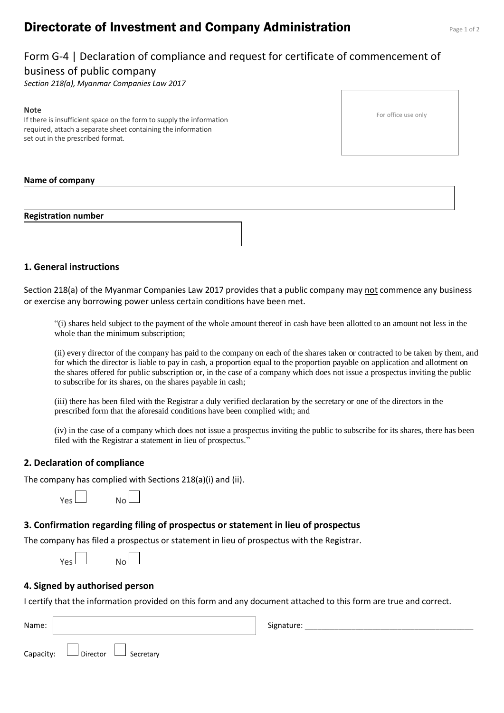# **Directorate of Investment and Company Administration** Page 1 of 2

# Form G-4 | Declaration of compliance and request for certificate of commencement of business of public company

*Section 218(a), Myanmar Companies Law 2017*

#### **Note**

If there is insufficient space on the form to supply the information required, attach a separate sheet containing the information set out in the prescribed format.

For office use only

#### **Name of company**

**Registration number**

#### **1. General instructions**

Section 218(a) of the Myanmar Companies Law 2017 provides that a public company may not commence any business or exercise any borrowing power unless certain conditions have been met.

"(i) shares held subject to the payment of the whole amount thereof in cash have been allotted to an amount not less in the whole than the minimum subscription;

(ii) every director of the company has paid to the company on each of the shares taken or contracted to be taken by them, and for which the director is liable to pay in cash, a proportion equal to the proportion payable on application and allotment on the shares offered for public subscription or, in the case of a company which does not issue a prospectus inviting the public to subscribe for its shares, on the shares payable in cash;

(iii) there has been filed with the Registrar a duly verified declaration by the secretary or one of the directors in the prescribed form that the aforesaid conditions have been complied with; and

(iv) in the case of a company which does not issue a prospectus inviting the public to subscribe for its shares, there has been filed with the Registrar a statement in lieu of prospectus."

#### **2. Declaration of compliance**

The company has complied with Sections 218(a)(i) and (ii).



### **3. Confirmation regarding filing of prospectus or statement in lieu of prospectus**

The company has filed a prospectus or statement in lieu of prospectus with the Registrar.

| Nol |
|-----|
|     |

### **4. Signed by authorised person**

Yes

I certify that the information provided on this form and any document attached to this form are true and correct.

| Name: |                                            | Signature: |
|-------|--------------------------------------------|------------|
|       | Capacity: $\Box$ Director $\Box$ Secretary |            |